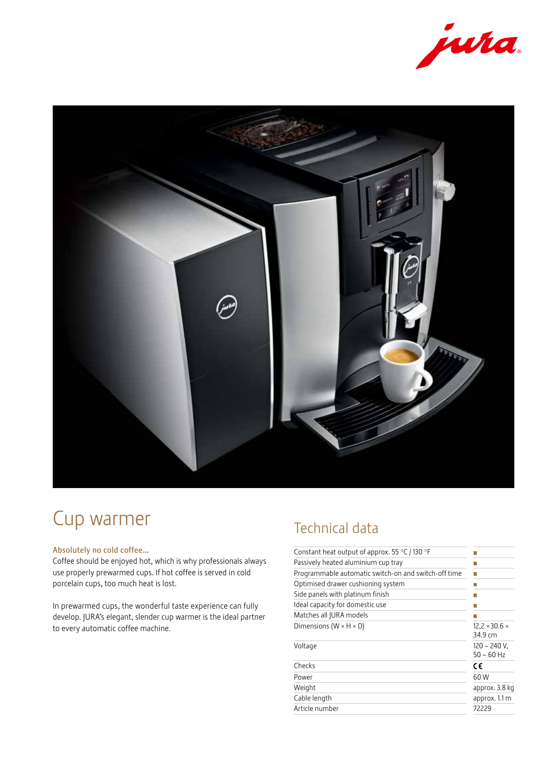



# Cup warmer

### Absolutely no cold coffee…

Coffee should be enjoyed hot, which is why professionals always use properly prewarmed cups. If hot coffee is served in cold porcelain cups, too much heat is lost.

In prewarmed cups, the wonderful taste experience can fully develop. JURA's elegant, slender cup warmer is the ideal partner to every automatic coffee machine.

### Technical data

| Constant heat output of approx. 55 $\degree$ C / 130 $\degree$ F |                                      |
|------------------------------------------------------------------|--------------------------------------|
| Passively heated aluminium cup tray                              |                                      |
| Programmable automatic switch-on and switch-off time             |                                      |
| Optimised drawer cushioning system                               |                                      |
| Side panels with platinum finish                                 |                                      |
| Ideal capacity for domestic use                                  |                                      |
| Matches all JURA models                                          |                                      |
| Dimensions ( $W \times H \times D$ )                             | $12,2 \times 30.6 \times$<br>34.9 cm |
| Voltage                                                          | $120 - 240$ V,<br>50 – 60 Hz         |
| Checks                                                           | c٤                                   |
| Power                                                            | 60 W                                 |
| Weight                                                           | approx. 3.8 kg                       |
| Cable length                                                     | approx. 1.1 m                        |
| Article number                                                   | 72229                                |